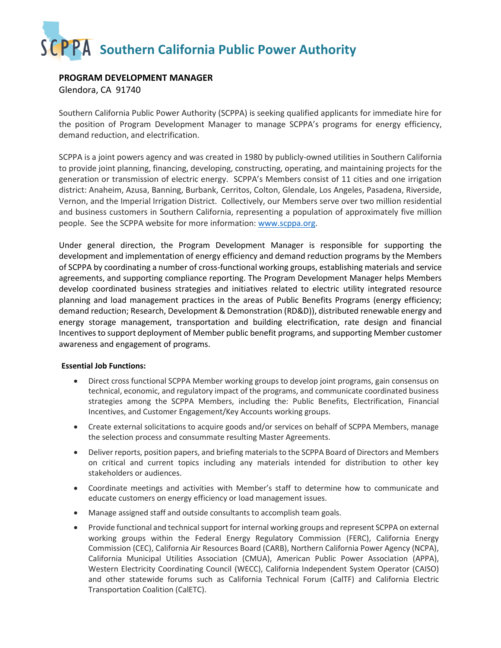## **SCPPA** Southern California Public Power Authority

## **PROGRAM DEVELOPMENT MANAGER**

Glendora, CA 91740

Southern California Public Power Authority (SCPPA) is seeking qualified applicants for immediate hire for the position of Program Development Manager to manage SCPPA's programs for energy efficiency, demand reduction, and electrification.

SCPPA is a joint powers agency and was created in 1980 by publicly-owned utilities in Southern California to provide joint planning, financing, developing, constructing, operating, and maintaining projects for the generation or transmission of electric energy. SCPPA's Members consist of 11 cities and one irrigation district: Anaheim, Azusa, Banning, Burbank, Cerritos, Colton, Glendale, Los Angeles, Pasadena, Riverside, Vernon, and the Imperial Irrigation District. Collectively, our Members serve over two million residential and business customers in Southern California, representing a population of approximately five million people. See the SCPPA website for more information[: www.scppa.org.](http://www.scppa.org/)

Under general direction, the Program Development Manager is responsible for supporting the development and implementation of energy efficiency and demand reduction programs by the Members of SCPPA by coordinating a number of cross-functional working groups, establishing materials and service agreements, and supporting compliance reporting. The Program Development Manager helps Members develop coordinated business strategies and initiatives related to electric utility integrated resource planning and load management practices in the areas of Public Benefits Programs (energy efficiency; demand reduction; Research, Development & Demonstration (RD&D)), distributed renewable energy and energy storage management, transportation and building electrification, rate design and financial Incentives to support deployment of Member public benefit programs, and supporting Member customer awareness and engagement of programs.

## **Essential Job Functions:**

- Direct cross functional SCPPA Member working groups to develop joint programs, gain consensus on technical, economic, and regulatory impact of the programs, and communicate coordinated business strategies among the SCPPA Members, including the: Public Benefits, Electrification, Financial Incentives, and Customer Engagement/Key Accounts working groups.
- Create external solicitations to acquire goods and/or services on behalf of SCPPA Members, manage the selection process and consummate resulting Master Agreements.
- Deliver reports, position papers, and briefing materials to the SCPPA Board of Directors and Members on critical and current topics including any materials intended for distribution to other key stakeholders or audiences.
- Coordinate meetings and activities with Member's staff to determine how to communicate and educate customers on energy efficiency or load management issues.
- Manage assigned staff and outside consultants to accomplish team goals.
- Provide functional and technical support for internal working groups and represent SCPPA on external working groups within the Federal Energy Regulatory Commission (FERC), California Energy Commission (CEC), California Air Resources Board (CARB), Northern California Power Agency (NCPA), California Municipal Utilities Association (CMUA), American Public Power Association (APPA), Western Electricity Coordinating Council (WECC), California Independent System Operator (CAISO) and other statewide forums such as California Technical Forum (CalTF) and California Electric Transportation Coalition (CalETC).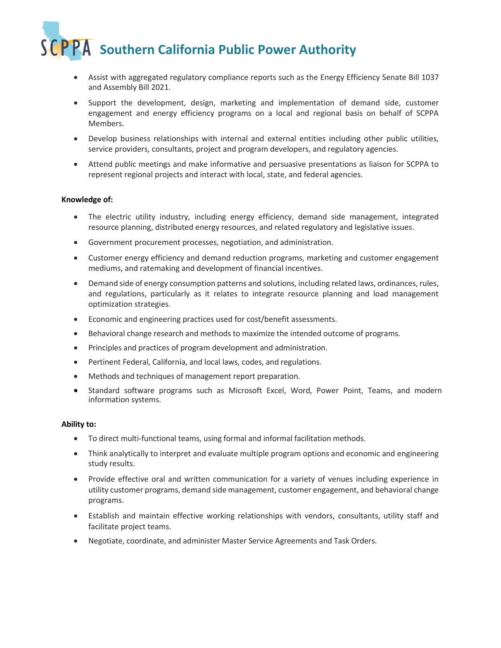**SCPPA** Southern California Public Power Authority

- Assist with aggregated regulatory compliance reports such as the Energy Efficiency Senate Bill 1037 and Assembly Bill 2021.
- Support the development, design, marketing and implementation of demand side, customer engagement and energy efficiency programs on a local and regional basis on behalf of SCPPA Members.
- Develop business relationships with internal and external entities including other public utilities, service providers, consultants, project and program developers, and regulatory agencies.
- Attend public meetings and make informative and persuasive presentations as liaison for SCPPA to represent regional projects and interact with local, state, and federal agencies.

#### **Knowledge of:**

- The electric utility industry, including energy efficiency, demand side management, integrated resource planning, distributed energy resources, and related regulatory and legislative issues.
- Government procurement processes, negotiation, and administration.
- Customer energy efficiency and demand reduction programs, marketing and customer engagement mediums, and ratemaking and development of financial incentives.
- Demand side of energy consumption patterns and solutions, including related laws, ordinances, rules, and regulations, particularly as it relates to integrate resource planning and load management optimization strategies.
- Economic and engineering practices used for cost/benefit assessments.
- Behavioral change research and methods to maximize the intended outcome of programs.
- Principles and practices of program development and administration.
- Pertinent Federal, California, and local laws, codes, and regulations.
- Methods and techniques of management report preparation.
- Standard software programs such as Microsoft Excel, Word, Power Point, Teams, and modern information systems.

#### **Ability to:**

- To direct multi-functional teams, using formal and informal facilitation methods.
- Think analytically to interpret and evaluate multiple program options and economic and engineering study results.
- Provide effective oral and written communication for a variety of venues including experience in utility customer programs, demand side management, customer engagement, and behavioral change programs.
- Establish and maintain effective working relationships with vendors, consultants, utility staff and facilitate project teams.
- Negotiate, coordinate, and administer Master Service Agreements and Task Orders.